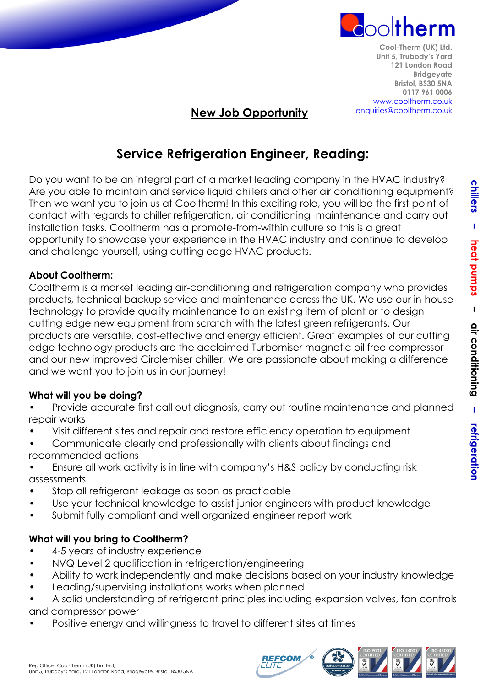

**Cool-Therm (UK) Ltd. Unit 5, Trubody's Yard 121 London Road Bridgeyate Bristol, BS30 5NA 0117 961 0006** [www.cooltherm.co.uk](http://www.cooltherm.co.uk/) [enquiries@cooltherm.co.uk](mailto:enquiries@cooltherm.co.uk)

## **New Job Opportunity**

# **Service Refrigeration Engineer, Reading:**

Do you want to be an integral part of a market leading company in the HVAC industry? Are you able to maintain and service liquid chillers and other air conditioning equipment? Then we want you to join us at Cooltherm! In this exciting role, you will be the first point of contact with regards to chiller refrigeration, air conditioning maintenance and carry out installation tasks. Cooltherm has a promote-from-within culture so this is a great opportunity to showcase your experience in the HVAC industry and continue to develop and challenge yourself, using cutting edge HVAC products.

#### **About Cooltherm:**

Cooltherm is a market leading air-conditioning and refrigeration company who provides products, technical backup service and maintenance across the UK. We use our in-house technology to provide quality maintenance to an existing item of plant or to design cutting edge new equipment from scratch with the latest green refrigerants. Our products are versatile, cost-effective and energy efficient. Great examples of our cutting edge technology products are the acclaimed Turbomiser magnetic oil free compressor and our new improved Circlemiser chiller. We are passionate about making a difference and we want you to join us in our journey!

#### **What will you be doing?**

- Provide accurate first call out diagnosis, carry out routine maintenance and planned repair works
- Visit different sites and repair and restore efficiency operation to equipment
- Communicate clearly and professionally with clients about findings and recommended actions
- Ensure all work activity is in line with company's H&S policy by conducting risk assessments
- Stop all refrigerant leakage as soon as practicable
- Use your technical knowledge to assist junior engineers with product knowledge
- Submit fully compliant and well organized engineer report work

### **What will you bring to Cooltherm?**

- 4-5 years of industry experience
- NVQ Level 2 qualification in refrigeration/engineering
- Ability to work independently and make decisions based on your industry knowledge
- Leading/supervising installations works when planned
- A solid understanding of refrigerant principles including expansion valves, fan controls and compressor power
- Positive energy and willingness to travel to different sites at times